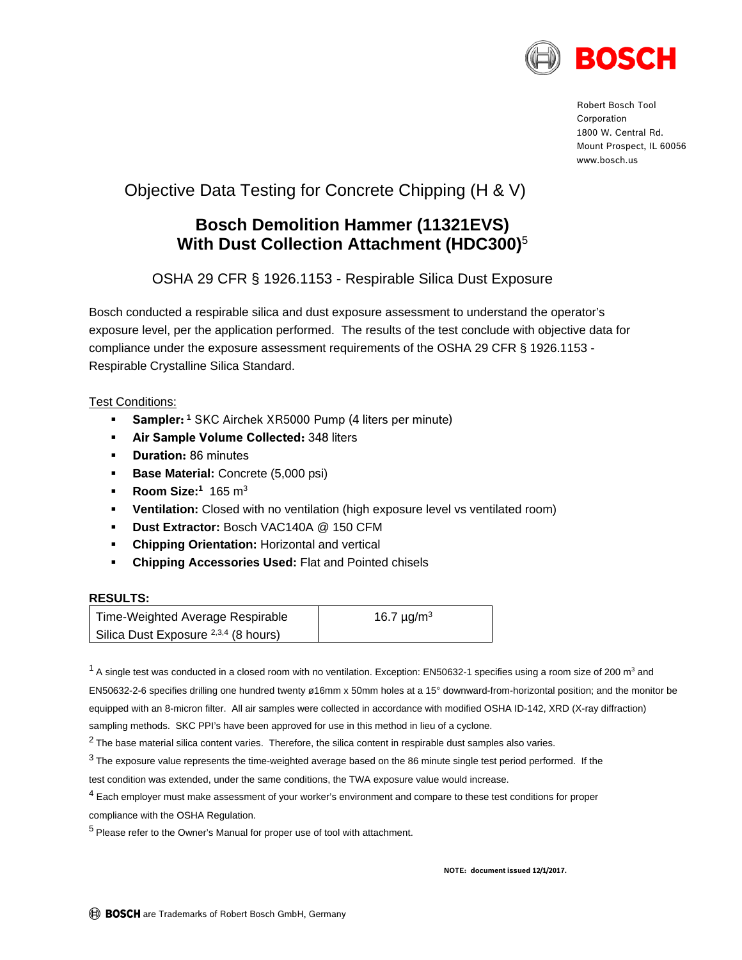

Robert Bosch Tool Corporation 1800 W. Central Rd. Mount Prospect, IL 60056 www.bosch.us

# Objective Data Testing for Concrete Chipping (H & V)

## **Bosch Demolition Hammer (11321EVS) With Dust Collection Attachment (HDC300)**<sup>5</sup>

OSHA 29 CFR § 1926.1153 - Respirable Silica Dust Exposure

Bosch conducted a respirable silica and dust exposure assessment to understand the operator's exposure level, per the application performed. The results of the test conclude with objective data for compliance under the exposure assessment requirements of the OSHA 29 CFR § 1926.1153 - Respirable Crystalline Silica Standard.

### Test Conditions:

- **Sampler:<sup>1</sup>** SKC Airchek XR5000 Pump (4 liters per minute)
- **Air Sample Volume Collected:** 348 liters
- **Duration:** 86 minutes
- **Base Material: Concrete (5,000 psi)**
- **Room Size:**<sup>1</sup> 165 m<sup>3</sup>
- **Ventilation:** Closed with no ventilation (high exposure level vs ventilated room)
- **Dust Extractor:** Bosch VAC140A @ 150 CFM
- **Chipping Orientation:** Horizontal and vertical
- **Chipping Accessories Used:** Flat and Pointed chisels

#### **RESULTS:**

| Time-Weighted Average Respirable                | 16.7 $\mu$ g/m <sup>3</sup> |
|-------------------------------------------------|-----------------------------|
| Silica Dust Exposure <sup>2,3,4</sup> (8 hours) |                             |

 $^1$  A single test was conducted in a closed room with no ventilation. Exception: EN50632-1 specifies using a room size of 200 m<sup>3</sup> and EN50632-2-6 specifies drilling one hundred twenty ø16mm x 50mm holes at a 15° downward-from-horizontal position; and the monitor be equipped with an 8-micron filter. All air samples were collected in accordance with modified OSHA ID-142, XRD (X-ray diffraction) sampling methods. SKC PPI's have been approved for use in this method in lieu of a cyclone.

 $2$  The base material silica content varies. Therefore, the silica content in respirable dust samples also varies.

 $3$  The exposure value represents the time-weighted average based on the 86 minute single test period performed. If the

test condition was extended, under the same conditions, the TWA exposure value would increase.

<sup>4</sup> Each employer must make assessment of your worker's environment and compare to these test conditions for proper compliance with the OSHA Regulation.

<sup>5</sup> Please refer to the Owner's Manual for proper use of tool with attachment.

**NOTE: document issued 12/1/2017.**